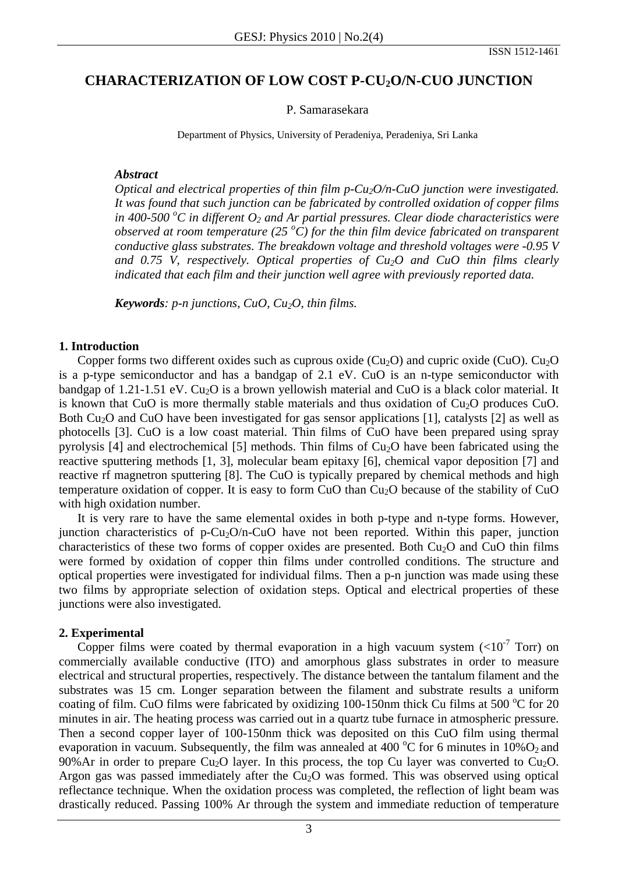# **CHARACTERIZATION OF LOW COST P-CU2O/N-CUO JUNCTION**

#### P. Samarasekara

Department of Physics, University of Peradeniya, Peradeniya, Sri Lanka

#### *Abstract*

*Optical and electrical properties of thin film p-Cu<sub>2</sub>O/n-CuO junction were investigated. It was found that such junction can be fabricated by controlled oxidation of copper films in 400-500 <sup>o</sup> C in different O2 and Ar partial pressures. Clear diode characteristics were observed at room temperature (25*  $\degree$ *C) for the thin film device fabricated on transparent conductive glass substrates. The breakdown voltage and threshold voltages were -0.95 V and 0.75 V, respectively. Optical properties of Cu2O and CuO thin films clearly indicated that each film and their junction well agree with previously reported data.* 

*Keywords: p-n junctions, CuO, Cu2O, thin films.* 

## **1. Introduction**

Copper forms two different oxides such as cuprous oxide ( $Cu<sub>2</sub>O$ ) and cupric oxide (CuO).  $Cu<sub>2</sub>O$ is a p-type semiconductor and has a bandgap of 2.1 eV. CuO is an n-type semiconductor with bandgap of 1.21-1.51 eV. Cu<sub>2</sub>O is a brown yellowish material and CuO is a black color material. It is known that CuO is more thermally stable materials and thus oxidation of  $Cu<sub>2</sub>O$  produces CuO. Both Cu<sub>2</sub>O and CuO have been investigated for gas sensor applications [1], catalysts [2] as well as photocells [3]. CuO is a low coast material. Thin films of CuO have been prepared using spray pyrolysis [4] and electrochemical [5] methods. Thin films of  $Cu<sub>2</sub>O$  have been fabricated using the reactive sputtering methods [1, 3], molecular beam epitaxy [6], chemical vapor deposition [7] and reactive rf magnetron sputtering [8]. The CuO is typically prepared by chemical methods and high temperature oxidation of copper. It is easy to form  $CuO$  than  $Cu<sub>2</sub>O$  because of the stability of  $CuO$ with high oxidation number.

It is very rare to have the same elemental oxides in both p-type and n-type forms. However, junction characteristics of p-Cu<sub>2</sub>O/n-CuO have not been reported. Within this paper, junction characteristics of these two forms of copper oxides are presented. Both  $Cu<sub>2</sub>O$  and  $CuO$  thin films were formed by oxidation of copper thin films under controlled conditions. The structure and optical properties were investigated for individual films. Then a p-n junction was made using these two films by appropriate selection of oxidation steps. Optical and electrical properties of these junctions were also investigated.

### **2. Experimental**

Copper films were coated by thermal evaporation in a high vacuum system  $(<10<sup>-7</sup>$  Torr) on commercially available conductive (ITO) and amorphous glass substrates in order to measure electrical and structural properties, respectively. The distance between the tantalum filament and the substrates was 15 cm. Longer separation between the filament and substrate results a uniform coating of film. CuO films were fabricated by oxidizing 100-150nm thick Cu films at 500  $^{\circ}$ C for 20 minutes in air. The heating process was carried out in a quartz tube furnace in atmospheric pressure. Then a second copper layer of 100-150nm thick was deposited on this CuO film using thermal evaporation in vacuum. Subsequently, the film was annealed at 400  $^{\circ}$ C for 6 minutes in 10%O<sub>2</sub> and 90%Ar in order to prepare Cu<sub>2</sub>O layer. In this process, the top Cu layer was converted to Cu<sub>2</sub>O. Argon gas was passed immediately after the  $Cu<sub>2</sub>O$  was formed. This was observed using optical reflectance technique. When the oxidation process was completed, the reflection of light beam was drastically reduced. Passing 100% Ar through the system and immediate reduction of temperature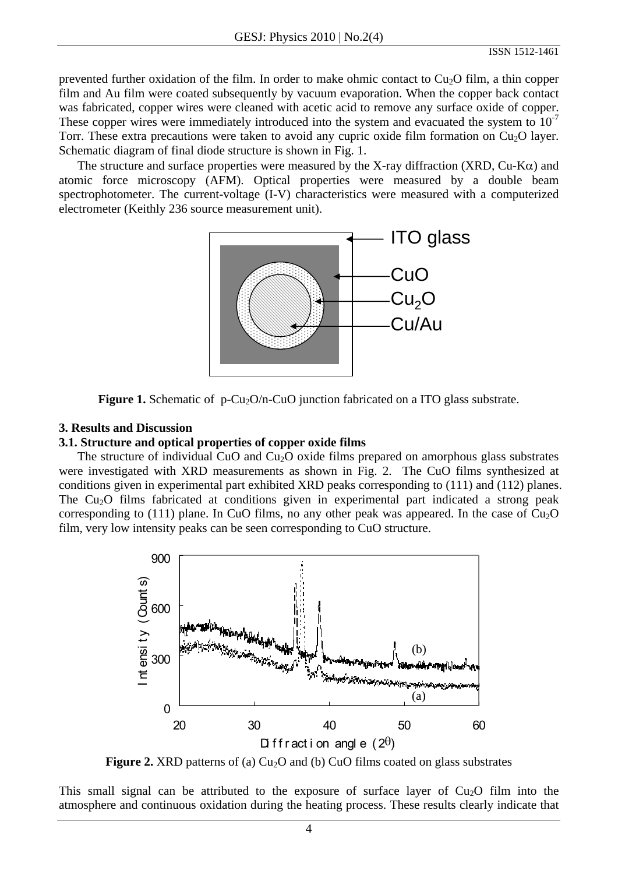prevented further oxidation of the film. In order to make ohmic contact to  $Cu<sub>2</sub>O$  film, a thin copper film and Au film were coated subsequently by vacuum evaporation. When the copper back contact was fabricated, copper wires were cleaned with acetic acid to remove any surface oxide of copper. These copper wires were immediately introduced into the system and evacuated the system to  $10^{-7}$ Torr. These extra precautions were taken to avoid any cupric oxide film formation on  $Cu<sub>2</sub>O$  layer. Schematic diagram of final diode structure is shown in Fig. 1.

The structure and surface properties were measured by the X-ray diffraction (XRD,  $Cu-K\alpha$ ) and atomic force microscopy (AFM). Optical properties were measured by a double beam spectrophotometer. The current-voltage (I-V) characteristics were measured with a computerized electrometer (Keithly 236 source measurement unit).



**Figure 1.** Schematic of p-Cu<sub>2</sub>O/n-CuO junction fabricated on a ITO glass substrate.

## **3. Results and Discussion**

# **3.1. Structure and optical properties of copper oxide films**

The structure of individual CuO and Cu<sub>2</sub>O oxide films prepared on amorphous glass substrates were investigated with XRD measurements as shown in Fig. 2. The CuO films synthesized at conditions given in experimental part exhibited XRD peaks corresponding to (111) and (112) planes. The Cu<sub>2</sub>O films fabricated at conditions given in experimental part indicated a strong peak corresponding to (111) plane. In CuO films, no any other peak was appeared. In the case of  $Cu<sub>2</sub>O$ film, very low intensity peaks can be seen corresponding to CuO structure.



**Figure 2.** XRD patterns of (a)  $Cu<sub>2</sub>O$  and (b)  $CuO$  films coated on glass substrates

This small signal can be attributed to the exposure of surface layer of  $Cu<sub>2</sub>O$  film into the atmosphere and continuous oxidation during the heating process. These results clearly indicate that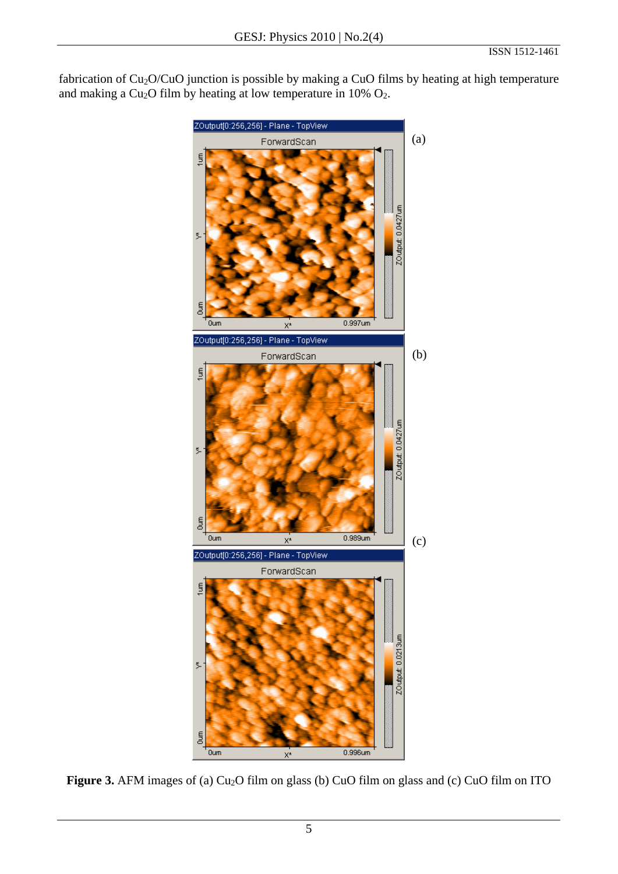fabrication of Cu<sub>2</sub>O/CuO junction is possible by making a CuO films by heating at high temperature and making a  $Cu<sub>2</sub>O$  film by heating at low temperature in 10%  $O<sub>2</sub>$ .



Figure 3. AFM images of (a) Cu<sub>2</sub>O film on glass (b) CuO film on glass and (c) CuO film on ITO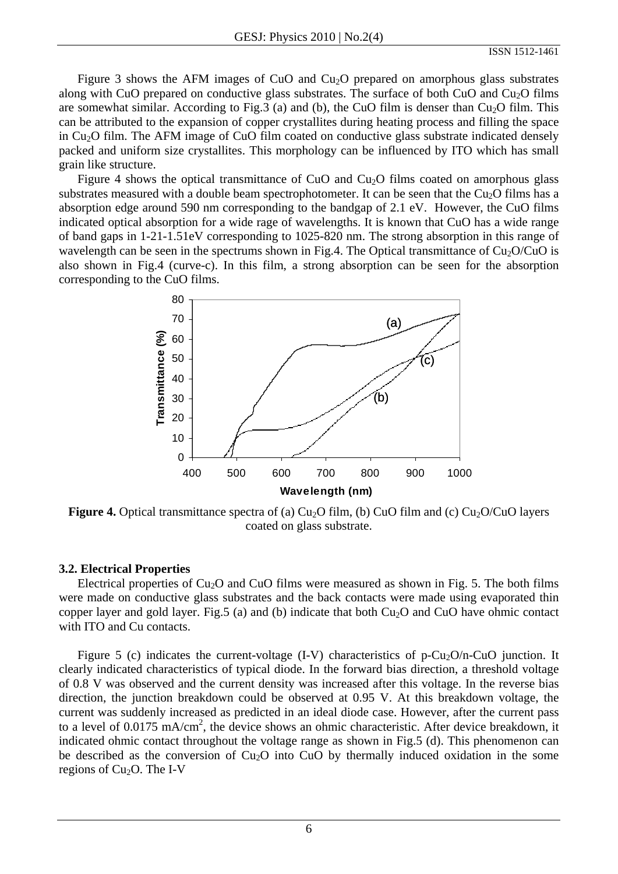Figure 3 shows the AFM images of CuO and Cu<sub>2</sub>O prepared on amorphous glass substrates along with CuO prepared on conductive glass substrates. The surface of both CuO and Cu<sub>2</sub>O films are somewhat similar. According to Fig.3 (a) and (b), the CuO film is denser than  $Cu<sub>2</sub>O$  film. This can be attributed to the expansion of copper crystallites during heating process and filling the space in Cu<sub>2</sub>O film. The AFM image of CuO film coated on conductive glass substrate indicated densely packed and uniform size crystallites. This morphology can be influenced by ITO which has small grain like structure.

Figure 4 shows the optical transmittance of CuO and Cu<sub>2</sub>O films coated on amorphous glass substrates measured with a double beam spectrophotometer. It can be seen that the  $Cu<sub>2</sub>O$  films has a absorption edge around 590 nm corresponding to the bandgap of 2.1 eV. However, the CuO films indicated optical absorption for a wide rage of wavelengths. It is known that CuO has a wide range of band gaps in 1-21-1.51eV corresponding to 1025-820 nm. The strong absorption in this range of wavelength can be seen in the spectrums shown in Fig.4. The Optical transmittance of  $Cu<sub>2</sub>O/CuO$  is also shown in Fig.4 (curve-c). In this film, a strong absorption can be seen for the absorption corresponding to the CuO films.



**Figure 4.** Optical transmittance spectra of (a)  $Cu<sub>2</sub>O$  film, (b) CuO film and (c)  $Cu<sub>2</sub>O/CuO$  layers coated on glass substrate.

### **3.2. Electrical Properties**

Electrical properties of  $Cu<sub>2</sub>O$  and CuO films were measured as shown in Fig. 5. The both films were made on conductive glass substrates and the back contacts were made using evaporated thin copper layer and gold layer. Fig.5 (a) and (b) indicate that both  $Cu<sub>2</sub>O$  and CuO have ohmic contact with ITO and Cu contacts.

Figure 5 (c) indicates the current-voltage  $(I-V)$  characteristics of p-Cu<sub>2</sub>O/n-CuO junction. It clearly indicated characteristics of typical diode. In the forward bias direction, a threshold voltage of 0.8 V was observed and the current density was increased after this voltage. In the reverse bias direction, the junction breakdown could be observed at 0.95 V. At this breakdown voltage, the current was suddenly increased as predicted in an ideal diode case. However, after the current pass to a level of  $0.0175 \text{ mA/cm}^2$ , the device shows an ohmic characteristic. After device breakdown, it indicated ohmic contact throughout the voltage range as shown in Fig.5 (d). This phenomenon can be described as the conversion of  $Cu<sub>2</sub>O$  into  $CuO$  by thermally induced oxidation in the some regions of  $Cu<sub>2</sub>O$ . The I-V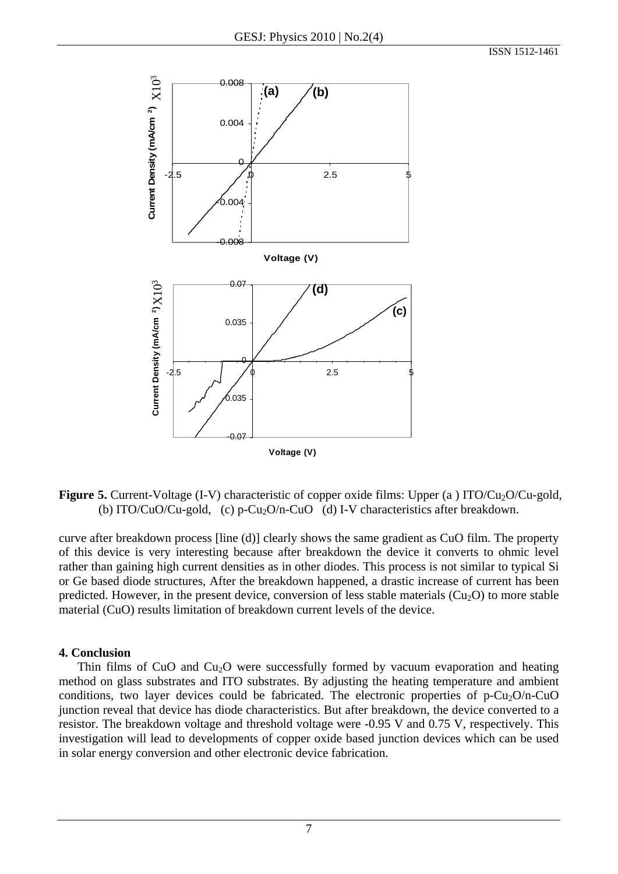

**Figure 5.** Current-Voltage (I-V) characteristic of copper oxide films: Upper (a) ITO/Cu<sub>2</sub>O/Cu-gold, (b) ITO/CuO/Cu-gold, (c) p-Cu<sub>2</sub>O/n-CuO (d) I-V characteristics after breakdown.

curve after breakdown process [line (d)] clearly shows the same gradient as CuO film. The property of this device is very interesting because after breakdown the device it converts to ohmic level rather than gaining high current densities as in other diodes. This process is not similar to typical Si or Ge based diode structures, After the breakdown happened, a drastic increase of current has been predicted. However, in the present device, conversion of less stable materials  $(Cu_2O)$  to more stable material (CuO) results limitation of breakdown current levels of the device.

### **4. Conclusion**

Thin films of CuO and Cu<sub>2</sub>O were successfully formed by vacuum evaporation and heating method on glass substrates and ITO substrates. By adjusting the heating temperature and ambient conditions, two layer devices could be fabricated. The electronic properties of  $p-Cu_2O/n-CuO$ junction reveal that device has diode characteristics. But after breakdown, the device converted to a resistor. The breakdown voltage and threshold voltage were -0.95 V and 0.75 V, respectively. This investigation will lead to developments of copper oxide based junction devices which can be used in solar energy conversion and other electronic device fabrication.